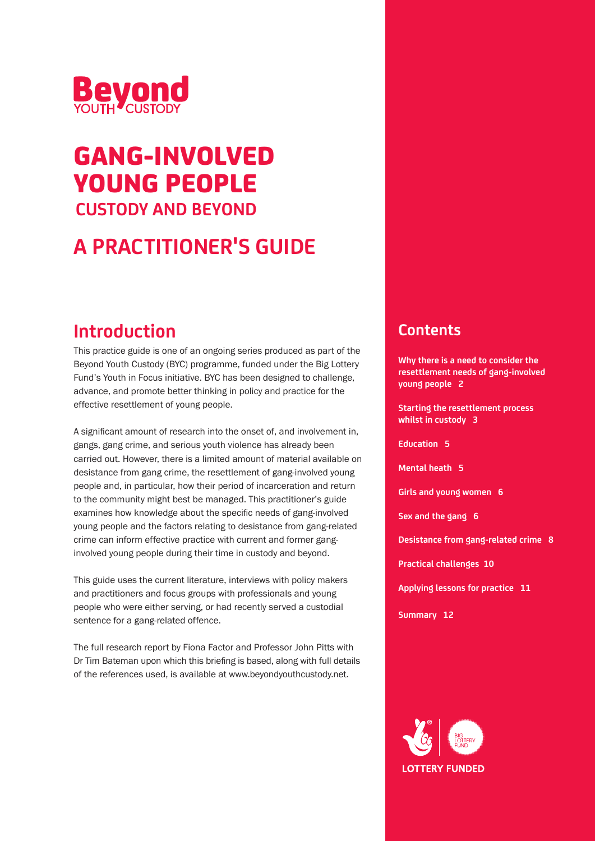

# GANG-INVOLVED YOUNG PEOPLE  **CUSTODY AND BEYOND**

# **A PRACTITIONER'S GUIDE**

## **Introduction**

This practice guide is one of an ongoing series produced as part of the Beyond Youth Custody (BYC) programme, funded under the Big Lottery Fund's Youth in Focus initiative. BYC has been designed to challenge, advance, and promote better thinking in policy and practice for the effective resettlement of young people.

A significant amount of research into the onset of, and involvement in, gangs, gang crime, and serious youth violence has already been carried out. However, there is a limited amount of material available on desistance from gang crime, the resettlement of gang-involved young people and, in particular, how their period of incarceration and return to the community might best be managed. This practitioner's guide examines how knowledge about the specific needs of gang-involved young people and the factors relating to desistance from gang-related crime can inform effective practice with current and former ganginvolved young people during their time in custody and beyond.

This guide uses the current literature, interviews with policy makers and practitioners and focus groups with professionals and young people who were either serving, or had recently served a custodial sentence for a gang-related offence.

The full research report by Fiona Factor and Professor John Pitts with Dr Tim Bateman upon which this briefing is based, along with full details of the references used, is available at www.beyondyouthcustody.net.

### **Contents**

**Why there is a need to consider the resettlement needs of gang-involved young people 2**

**Starting the resettlement process whilst in custody 3**

**Education 5**

**Mental heath 5**

**Girls and young women 6**

**Sex and the gang 6**

**Desistance from gang-related crime 8**

**Practical challenges 10**

**Applying lessons for practice 11**

**Summary 12**

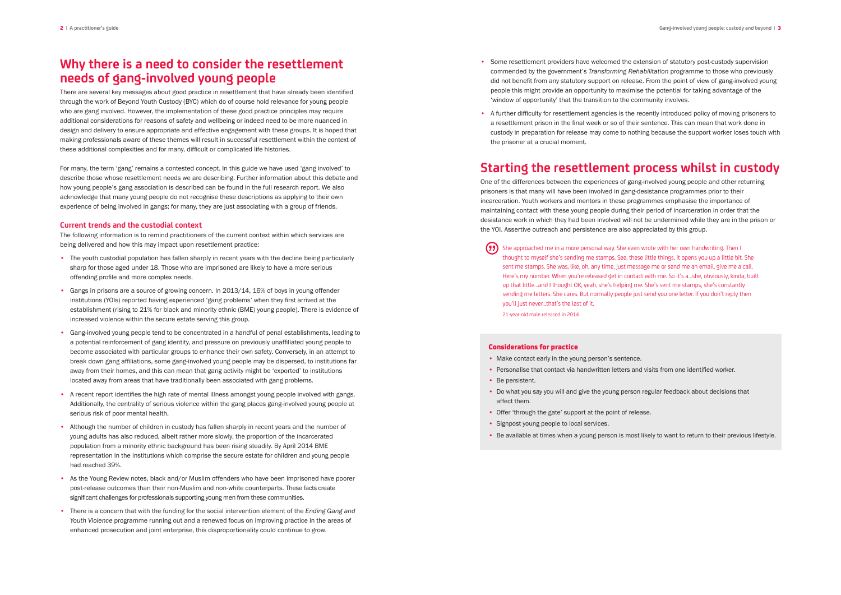### **Why there is a need to consider the resettlement needs of gang-involved young people**

There are several key messages about good practice in resettlement that have already been identified through the work of Beyond Youth Custody (BYC) which do of course hold relevance for young people who are gang involved. However, the implementation of these good practice principles may require additional considerations for reasons of safety and wellbeing or indeed need to be more nuanced in design and delivery to ensure appropriate and effective engagement with these groups. It is hoped that making professionals aware of these themes will result in successful resettlement within the context of these additional complexities and for many, difficult or complicated life histories.

For many, the term 'gang' remains a contested concept. In this guide we have used 'gang involved' to describe those whose resettlement needs we are describing. Further information about this debate and how young people's gang association is described can be found in the full research report. We also acknowledge that many young people do not recognise these descriptions as applying to their own experience of being involved in gangs; for many, they are just associating with a group of friends.

### **Current trends and the custodial context**

The following information is to remind practitioners of the current context within which services are being delivered and how this may impact upon resettlement practice:

- The youth custodial population has fallen sharply in recent years with the decline being particularly sharp for those aged under 18. Those who are imprisoned are likely to have a more serious offending profile and more complex needs.
- Gangs in prisons are a source of growing concern. In 2013/14, 16% of boys in young offender institutions (YOIs) reported having experienced 'gang problems' when they first arrived at the establishment (rising to 21% for black and minority ethnic (BME) young people). There is evidence of increased violence within the secure estate serving this group.
- Gang-involved young people tend to be concentrated in a handful of penal establishments, leading to a potential reinforcement of gang identity, and pressure on previously unaffiliated young people to become associated with particular groups to enhance their own safety. Conversely, in an attempt to break down gang affiliations, some gang-involved young people may be dispersed, to institutions far away from their homes, and this can mean that gang activity might be 'exported' to institutions located away from areas that have traditionally been associated with gang problems.
- A recent report identifies the high rate of mental illness amongst young people involved with gangs. Additionally, the centrality of serious violence within the gang places gang-involved young people at serious risk of poor mental health.
- Although the number of children in custody has fallen sharply in recent years and the number of young adults has also reduced, albeit rather more slowly, the proportion of the incarcerated population from a minority ethnic background has been rising steadily. By April 2014 BME representation in the institutions which comprise the secure estate for children and young people had reached 39%.
- As the Young Review notes, black and/or Muslim offenders who have been imprisoned have poorer post-release outcomes than their non-Muslim and non-white counterparts. These facts create significant challenges for professionals supporting young men from these communities.
- There is a concern that with the funding for the social intervention element of the *Ending Gang and Youth Violence* programme running out and a renewed focus on improving practice in the areas of enhanced prosecution and joint enterprise, this disproportionality could continue to grow.
- Some resettlement providers have welcomed the extension of statutory post-custody supervision commended by the government's *Transforming Rehabilitation* programme to those who previously did not benefit from any statutory support on release. From the point of view of gang-involved young people this might provide an opportunity to maximise the potential for taking advantage of the 'window of opportunity' that the transition to the community involves.
- A further difficulty for resettlement agencies is the recently introduced policy of moving prisoners to a resettlement prison in the final week or so of their sentence. This can mean that work done in custody in preparation for release may come to nothing because the support worker loses touch with the prisoner at a crucial moment.

# **Starting the resettlement process whilst in custody**

One of the differences between the experiences of gang-involved young people and other returning prisoners is that many will have been involved in gang-desistance programmes prior to their incarceration. Youth workers and mentors in these programmes emphasise the importance of maintaining contact with these young people during their period of incarceration in order that the desistance work in which they had been involved will not be undermined while they are in the prison or the YOI. Assertive outreach and persistence are also appreciated by this group.

She approached me in a more personal way. She even wrote with her own handwriting. Then I thought to myself she's sending me stamps. See, these little things, it opens you up a little bit. She sent me stamps. She was, like, oh, any time, just message me or send me an email, give me a call. Here's my number. When you're released get in contact with me. So it's a…she, obviously, kinda, built up that little…and I thought OK, yeah, she's helping me. She's sent me stamps, she's constantly sending me letters. She cares. But normally people just send you one letter. If you don't reply then you'll just never…that's the last of it.

21-year-old male released in 2014

### Considerations for practice

- Make contact early in the young person's sentence.
- Personalise that contact via handwritten letters and visits from one identified worker.
- Be persistent.
- Do what you say you will and give the young person regular feedback about decisions that affect them.
- Offer 'through the gate' support at the point of release.
- Signpost young people to local services.
- Be available at times when a young person is most likely to want to return to their previous lifestyle.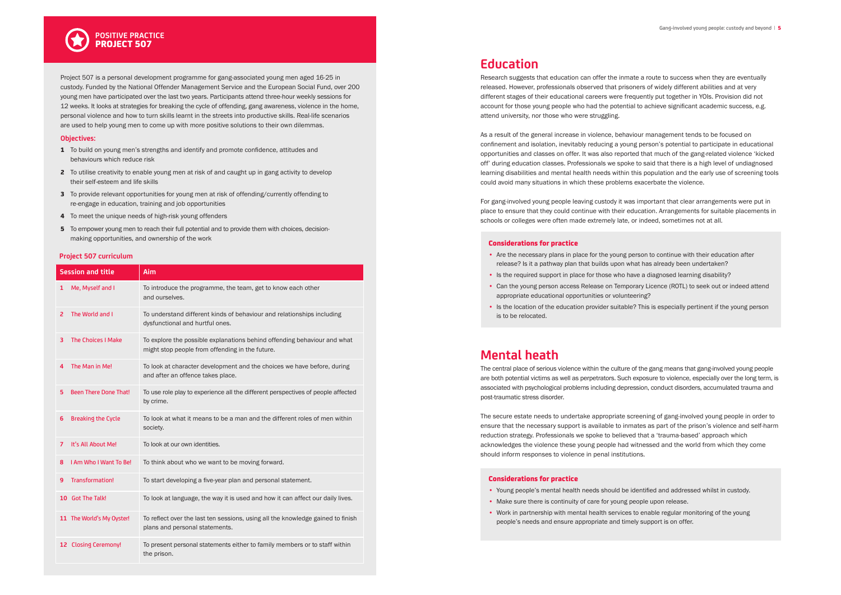

Project 507 is a personal development programme for gang-associated young men aged 16-25 in custody. Funded by the National Offender Management Service and the European Social Fund, over 200 young men have participated over the last two years. Participants attend three-hour weekly sessions for 12 weeks. It looks at strategies for breaking the cycle of offending, gang awareness, violence in the home, personal violence and how to turn skills learnt in the streets into productive skills. Real-life scenarios are used to help young men to come up with more positive solutions to their own dilemmas.

- 1 To build on young men's strengths and identify and promote confidence, attitudes and behaviours which reduce risk
- 2 To utilise creativity to enable young men at risk of and caught up in gang activity to develop their self-esteem and life skills
- 3 To provide relevant opportunities for young men at risk of offending/currently offending to re-engage in education, training and job opportunities
- 4 To meet the unique needs of high-risk young offenders
- 5 To empower young men to reach their full potential and to provide them with choices, decisionmaking opportunities, and ownership of the work

### **Objectives:**

### **Education**

Research suggests that education can offer the inmate a route to success when they are eventually released. However, professionals observed that prisoners of widely different abilities and at very different stages of their educational careers were frequently put together in YOIs. Provision did not account for those young people who had the potential to achieve significant academic success, e.g. attend university, nor those who were struggling.

- Are the necessary plans in place for the young person to continue with their education after release? Is it a pathway plan that builds upon what has already been undertaken?
- Is the required support in place for those who have a diagnosed learning disability?
- Can the young person access Release on Temporary Licence (ROTL) to seek out or indeed attend appropriate educational opportunities or volunteering?
- Is the location of the education provider suitable? This is especially pertinent if the young person is to be relocated.

As a result of the general increase in violence, behaviour management tends to be focused on confinement and isolation, inevitably reducing a young person's potential to participate in educational opportunities and classes on offer. It was also reported that much of the gang-related violence 'kicked off' during education classes. Professionals we spoke to said that there is a high level of undiagnosed learning disabilities and mental health needs within this population and the early use of screening tools could avoid many situations in which these problems exacerbate the violence.

For gang-involved young people leaving custody it was important that clear arrangements were put in place to ensure that they could continue with their education. Arrangements for suitable placements in schools or colleges were often made extremely late, or indeed, sometimes not at all.

### Considerations for practice

### **Mental heath**

The central place of serious violence within the culture of the gang means that gang-involved young people are both potential victims as well as perpetrators. Such exposure to violence, especially over the long term, is associated with psychological problems including depression, conduct disorders, accumulated trauma and post-traumatic stress disorder.

The secure estate needs to undertake appropriate screening of gang-involved young people in order to ensure that the necessary support is available to inmates as part of the prison's violence and self-harm reduction strategy. Professionals we spoke to believed that a 'trauma-based' approach which acknowledges the violence these young people had witnessed and the world from which they come should inform responses to violence in penal institutions.

### Considerations for practice

- Young people's mental health needs should be identified and addressed whilst in custody.
- Make sure there is continuity of care for young people upon release.
- Work in partnership with mental health services to enable regular monitoring of the young people's needs and ensure appropriate and timely support is on offer.

#### **Project 507 curriculum**

| <b>Session and title</b> |                              | Aim                                                                                                                         |
|--------------------------|------------------------------|-----------------------------------------------------------------------------------------------------------------------------|
| 1                        | Me, Myself and I             | To introduce the programme, the team, get to know each other<br>and ourselves.                                              |
| 2                        | The World and I              | To understand different kinds of behaviour and relationships including<br>dysfunctional and hurtful ones.                   |
| 3                        | <b>The Choices I Make</b>    | To explore the possible explanations behind offending behaviour and what<br>might stop people from offending in the future. |
| 4                        | The Man in Me!               | To look at character development and the choices we have before, during<br>and after an offence takes place.                |
| 5                        | <b>Been There Done That!</b> | To use role play to experience all the different perspectives of people affected<br>by crime.                               |
| 6                        | <b>Breaking the Cycle</b>    | To look at what it means to be a man and the different roles of men within<br>society.                                      |
| 7                        | It's All About Me!           | To look at our own identities.                                                                                              |
| 8                        | I Am Who I Want To Be!       | To think about who we want to be moving forward.                                                                            |
| 9                        | <b>Transformation!</b>       | To start developing a five-year plan and personal statement.                                                                |
|                          | 10 Got The Talk!             | To look at language, the way it is used and how it can affect our daily lives.                                              |
|                          | 11 The World's My Oyster!    | To reflect over the last ten sessions, using all the knowledge gained to finish<br>plans and personal statements.           |
|                          | 12 Closing Ceremony!         | To present personal statements either to family members or to staff within<br>the prison.                                   |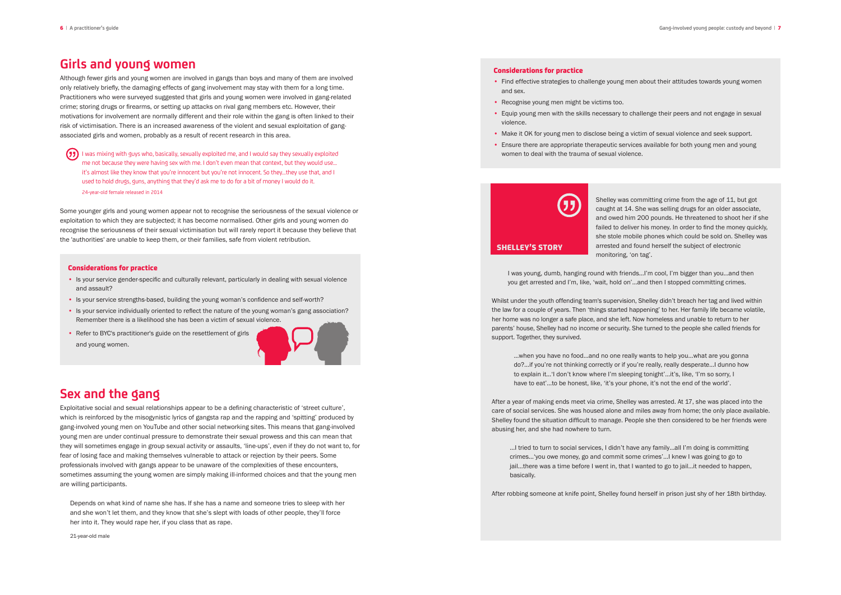Shelley was committing crime from the age of 11, but got caught at 14. She was selling drugs for an older associate, and owed him 200 pounds. He threatened to shoot her if she failed to deliver his money. In order to find the money quickly, she stole mobile phones which could be sold on. Shelley was arrested and found herself the subject of electronic monitoring, 'on tag'.

I was young, dumb, hanging round with friends…I'm cool, I'm bigger than you…and then you get arrested and I'm, like, 'wait, hold on'…and then I stopped committing crimes.

…when you have no food…and no one really wants to help you…what are you gonna do?…if you're not thinking correctly or if you're really, really desperate…I dunno how to explain it…'I don't know where I'm sleeping tonight'…it's, like, 'I'm so sorry, I have to eat'...to be honest, like, 'it's your phone, it's not the end of the world'.

Whilst under the youth offending team's supervision, Shelley didn't breach her tag and lived within the law for a couple of years. Then 'things started happening' to her. Her family life became volatile, her home was no longer a safe place, and she left. Now homeless and unable to return to her parents' house, Shelley had no income or security. She turned to the people she called friends for support. Together, they survived.

After a year of making ends meet via crime, Shelley was arrested. At 17, she was placed into the care of social services. She was housed alone and miles away from home; the only place available. Shelley found the situation difficult to manage. People she then considered to be her friends were abusing her, and she had nowhere to turn.

…I tried to turn to social services, I didn't have any family…all I'm doing is committing crimes…'you owe money, go and commit some crimes'…I knew I was going to go to jail…there was a time before I went in, that I wanted to go to jail…it needed to happen, basically.

After robbing someone at knife point, Shelley found herself in prison just shy of her 18th birthday.

SHELLEY'S STORY

- Is your service gender-specific and culturally relevant, particularly in dealing with sexual violence and assault?
- Is your service strengths-based, building the young woman's confidence and self-worth?
- Is your service individually oriented to reflect the nature of the young woman's gang association? Remember there is a likelihood she has been a victim of sexual violence.
- Refer to BYC's practitioner's guide on the resettlement of girls and young women.



### **Girls and young women**

Although fewer girls and young women are involved in gangs than boys and many of them are involved only relatively briefly, the damaging effects of gang involvement may stay with them for a long time. Practitioners who were surveyed suggested that girls and young women were involved in gang-related crime; storing drugs or firearms, or setting up attacks on rival gang members etc. However, their motivations for involvement are normally different and their role within the gang is often linked to their risk of victimisation. There is an increased awareness of the violent and sexual exploitation of gangassociated girls and women, probably as a result of recent research in this area.

I was mixing with guys who, basically, sexually exploited me, and I would say they sexually exploited me not because they were having sex with me. I don't even mean that context, but they would use… it's almost like they know that you're innocent but you're not innocent. So they…they use that, and I used to hold drugs, guns, anything that they'd ask me to do for a bit of money I would do it. 24-year-old female released in 2014

Some younger girls and young women appear not to recognise the seriousness of the sexual violence or exploitation to which they are subjected; it has become normalised. Other girls and young women do recognise the seriousness of their sexual victimisation but will rarely report it because they believe that the 'authorities' are unable to keep them, or their families, safe from violent retribution.

#### Considerations for practice

### **Sex and the gang**

Exploitative social and sexual relationships appear to be a defining characteristic of 'street culture', which is reinforced by the misogynistic lyrics of gangsta rap and the rapping and 'spitting' produced by gang-involved young men on YouTube and other social networking sites. This means that gang-involved young men are under continual pressure to demonstrate their sexual prowess and this can mean that they will sometimes engage in group sexual activity or assaults, 'line-ups', even if they do not want to, for fear of losing face and making themselves vulnerable to attack or rejection by their peers. Some professionals involved with gangs appear to be unaware of the complexities of these encounters, sometimes assuming the young women are simply making ill-informed choices and that the young men are willing participants.

Depends on what kind of name she has. If she has a name and someone tries to sleep with her and she won't let them, and they know that she's slept with loads of other people, they'll force her into it. They would rape her, if you class that as rape.

21-year-old male

### Considerations for practice

- Find effective strategies to challenge young men about their attitudes towards young women and sex.
- Recognise young men might be victims too.
- Equip young men with the skills necessary to challenge their peers and not engage in sexual violence.
- Make it OK for young men to disclose being a victim of sexual violence and seek support.
- women to deal with the trauma of sexual violence.

• Ensure there are appropriate therapeutic services available for both young men and young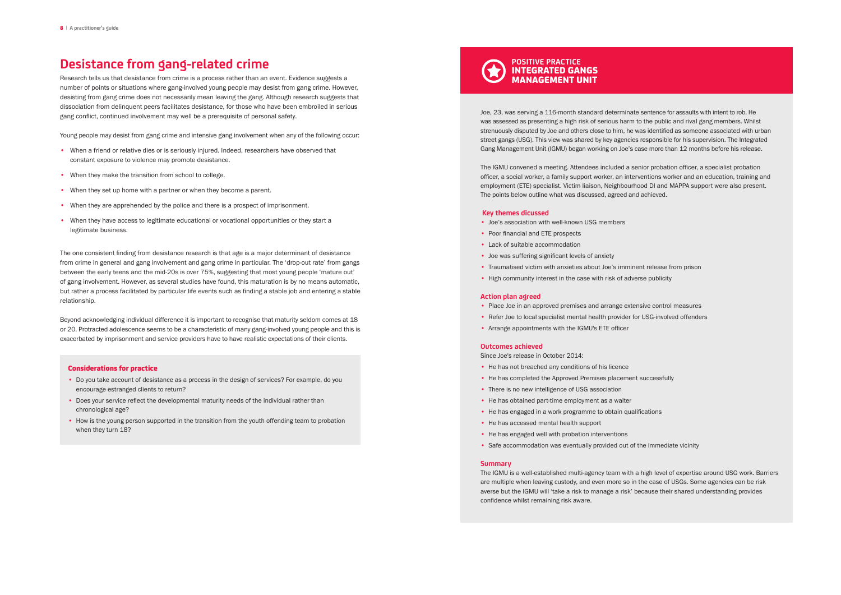

### **Desistance from gang-related crime**

Research tells us that desistance from crime is a process rather than an event. Evidence suggests a number of points or situations where gang-involved young people may desist from gang crime. However, desisting from gang crime does not necessarily mean leaving the gang. Although research suggests that dissociation from delinquent peers facilitates desistance, for those who have been embroiled in serious gang conflict, continued involvement may well be a prerequisite of personal safety.

Young people may desist from gang crime and intensive gang involvement when any of the following occur:

- When a friend or relative dies or is seriously injured. Indeed, researchers have observed that constant exposure to violence may promote desistance.
- When they make the transition from school to college.
- When they set up home with a partner or when they become a parent.
- When they are apprehended by the police and there is a prospect of imprisonment.
- When they have access to legitimate educational or vocational opportunities or they start a legitimate business.

The one consistent finding from desistance research is that age is a major determinant of desistance from crime in general and gang involvement and gang crime in particular. The 'drop-out rate' from gangs between the early teens and the mid-20s is over 75%, suggesting that most young people 'mature out' of gang involvement. However, as several studies have found, this maturation is by no means automatic, but rather a process facilitated by particular life events such as finding a stable job and entering a stable relationship.

Beyond acknowledging individual difference it is important to recognise that maturity seldom comes at 18 or 20. Protracted adolescence seems to be a characteristic of many gang-involved young people and this is exacerbated by imprisonment and service providers have to have realistic expectations of their clients.

- Place Joe in an approved premises and arrange extensive control measures
- Refer Joe to local specialist mental health provider for USG-involved offenders
- Arrange appointments with the IGMU's ETE officer

#### Considerations for practice

- Do you take account of desistance as a process in the design of services? For example, do you encourage estranged clients to return?
- Does your service reflect the developmental maturity needs of the individual rather than chronological age?
- How is the young person supported in the transition from the youth offending team to probation when they turn 18?

Joe, 23, was serving a 116-month standard determinate sentence for assaults with intent to rob. He was assessed as presenting a high risk of serious harm to the public and rival gang members. Whilst strenuously disputed by Joe and others close to him, he was identified as someone associated with urban street gangs (USG). This view was shared by key agencies responsible for his supervision. The Integrated Gang Management Unit (IGMU) began working on Joe's case more than 12 months before his release.

The IGMU convened a meeting. Attendees included a senior probation officer, a specialist probation officer, a social worker, a family support worker, an interventions worker and an education, training and employment (ETE) specialist. Victim liaison, Neighbourhood DI and MAPPA support were also present. The points below outline what was discussed, agreed and achieved.

#### **Key themes dicussed**

- Joe's association with well-known USG members
- Poor financial and ETE prospects
- Lack of suitable accommodation
- Joe was suffering significant levels of anxiety
- Traumatised victim with anxieties about Joe's imminent release from prison
- High community interest in the case with risk of adverse publicity

#### **Action plan agreed**

#### **Outcomes achieved**

#### Since Joe's release in October 2014:

- He has not breached any conditions of his licence
- He has completed the Approved Premises placement successfully
- There is no new intelligence of USG association
- He has obtained part-time employment as a waiter
- He has engaged in a work programme to obtain qualifications
- He has accessed mental health support
- He has engaged well with probation interventions
- Safe accommodation was eventually provided out of the immediate vicinity

#### **Summary**

The IGMU is a well-established multi-agency team with a high level of expertise around USG work. Barriers are multiple when leaving custody, and even more so in the case of USGs. Some agencies can be risk averse but the IGMU will 'take a risk to manage a risk' because their shared understanding provides confidence whilst remaining risk aware.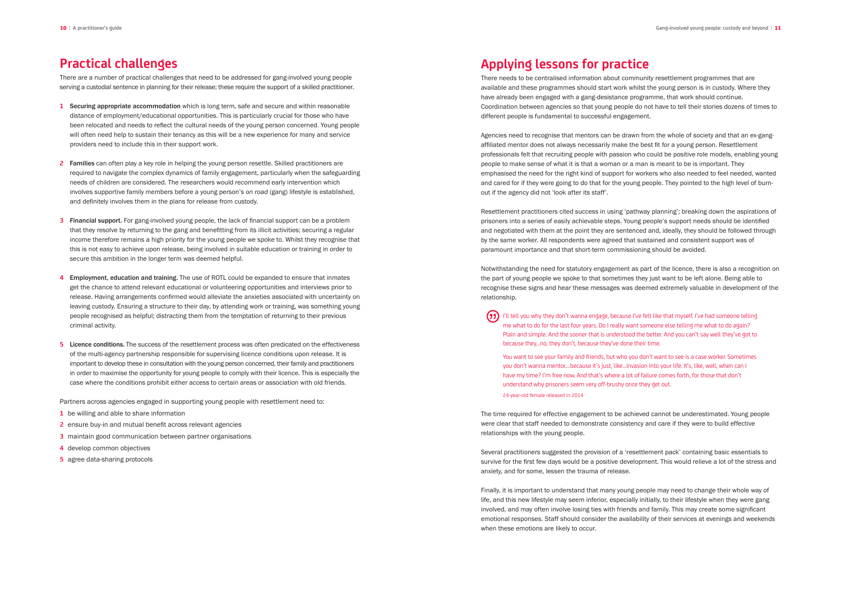### **Practical challenges**

There are a number of practical challenges that need to be addressed for gang-involved young people serving a custodial sentence in planning for their release; these require the support of a skilled practitioner.

- **1** Securing appropriate accommodation which is long term, safe and secure and within reasonable distance of employment/educational opportunities. This is particularly crucial for those who have been relocated and needs to reflect the cultural needs of the young person concerned. Young people will often need help to sustain their tenancy as this will be a new experience for many and service providers need to include this in their support work.
- **2** Families can often play a key role in helping the young person resettle. Skilled practitioners are required to navigate the complex dynamics of family engagement, particularly when the safeguarding needs of children are considered. The researchers would recommend early intervention which involves supportive family members before a young person's *on road* (gang) lifestyle is established, and definitely involves them in the plans for release from custody.
- **3** Financial support. For gang-involved young people, the lack of financial support can be a problem that they resolve by returning to the gang and benefitting from its illicit activities; securing a regular income therefore remains a high priority for the young people we spoke to. Whilst they recognise that this is not easy to achieve upon release, being involved in suitable education or training in order to secure this ambition in the longer term was deemed helpful.
- **4** Employment, education and training. The use of ROTL could be expanded to ensure that inmates get the chance to attend relevant educational or volunteering opportunities and interviews prior to release. Having arrangements confirmed would alleviate the anxieties associated with uncertainty on leaving custody. Ensuring a structure to their day, by attending work or training, was something young people recognised as helpful; distracting them from the temptation of returning to their previous criminal activity.
- **5** Licence conditions. The success of the resettlement process was often predicated on the effectiveness of the multi-agency partnership responsible for supervising licence conditions upon release. It is important to develop these in consultation with the young person concerned, their family and practitioners in order to maximise the opportunity for young people to comply with their licence. This is especially the case where the conditions prohibit either access to certain areas or association with old friends.

Partners across agencies engaged in supporting young people with resettlement need to:

- **1** be willing and able to share information
- **2** ensure buy-in and mutual benefit across relevant agencies
- **3** maintain good communication between partner organisations
- **4** develop common objectives
- **5** agree data-sharing protocols

## **Applying lessons for practice**

There needs to be centralised information about community resettlement programmes that are available and these programmes should start work whilst the young person is in custody. Where they have already been engaged with a gang-desistance programme, that work should continue. Coordination between agencies so that young people do not have to tell their stories dozens of times to different people is fundamental to successful engagement.

Agencies need to recognise that mentors can be drawn from the whole of society and that an ex-gangaffiliated mentor does not always necessarily make the best fit for a young person. Resettlement professionals felt that recruiting people with passion who could be positive role models, enabling young people to make sense of what it is that a woman or a man is meant to be is important. They emphasised the need for the right kind of support for workers who also needed to feel needed, wanted and cared for if they were going to do that for the young people. They pointed to the high level of burnout if the agency did not 'look after its staff'.

Resettlement practitioners cited success in using 'pathway planning'; breaking down the aspirations of prisoners into a series of easily achievable steps. Young people's support needs should be identified and negotiated with them at the point they are sentenced and, ideally, they should be followed through by the same worker. All respondents were agreed that sustained and consistent support was of paramount importance and that short-term commissioning should be avoided.

Notwithstanding the need for statutory engagement as part of the licence, there is also a recognition on the part of young people we spoke to that sometimes they just want to be left alone. Being able to recognise these signs and hear these messages was deemed extremely valuable in development of the relationship.

I'll tell you why they don't wanna engage, because I've felt like that myself. I've had someone telling me what to do for the last four years. Do I really want someone else telling me what to do again? Plain and simple. And the sooner that is understood the better. And you can't say well they've got to because they…no, they don't, because they've done their time.

You want to see your family and friends, but who you don't want to see is a case worker. Sometimes you don't wanna mentor.…because it's just, like…invasion into your life. It's, like, well, when can I have my time? I'm free now. And that's where a lot of failure comes forth, for those that don't understand why prisoners seem very off-brushy once they get out. 24-year-old female released in 2014

The time required for effective engagement to be achieved cannot be underestimated. Young people were clear that staff needed to demonstrate consistency and care if they were to build effective relationships with the young people.

Several practitioners suggested the provision of a 'resettlement pack' containing basic essentials to survive for the first few days would be a positive development. This would relieve a lot of the stress and anxiety, and for some, lessen the trauma of release.

Finally, it is important to understand that many young people may need to change their whole way of life, and this new lifestyle may seem inferior, especially initially, to their lifestyle when they were gang involved, and may often involve losing ties with friends and family. This may create some significant emotional responses. Staff should consider the availability of their services at evenings and weekends when these emotions are likely to occur.